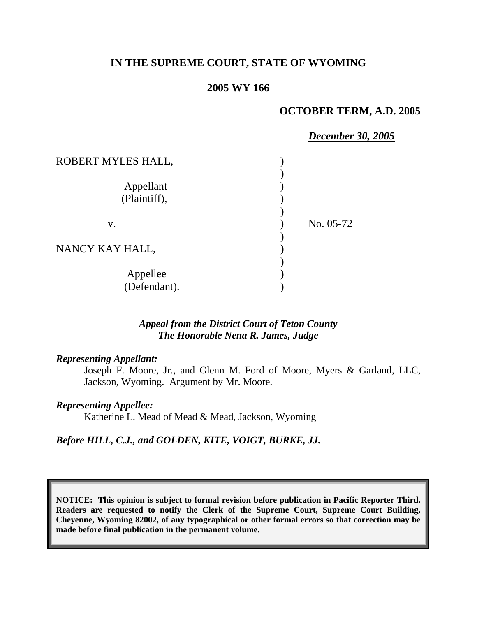## **IN THE SUPREME COURT, STATE OF WYOMING**

# **2005 WY 166**

#### **OCTOBER TERM, A.D. 2005**

|                    | <b>December 30, 2005</b> |
|--------------------|--------------------------|
| ROBERT MYLES HALL, |                          |
|                    |                          |
| Appellant          |                          |
| (Plaintiff),       |                          |
|                    |                          |
| V.                 | No. 05-72                |
|                    |                          |
| NANCY KAY HALL,    |                          |
|                    |                          |
| Appellee           |                          |
| (Defendant).       |                          |

### *Appeal from the District Court of Teton County The Honorable Nena R. James, Judge*

#### *Representing Appellant:*

Joseph F. Moore, Jr., and Glenn M. Ford of Moore, Myers & Garland, LLC, Jackson, Wyoming. Argument by Mr. Moore.

#### *Representing Appellee:*

Katherine L. Mead of Mead & Mead, Jackson, Wyoming

#### *Before HILL, C.J., and GOLDEN, KITE, VOIGT, BURKE, JJ.*

**NOTICE: This opinion is subject to formal revision before publication in Pacific Reporter Third. Readers are requested to notify the Clerk of the Supreme Court, Supreme Court Building, Cheyenne, Wyoming 82002, of any typographical or other formal errors so that correction may be made before final publication in the permanent volume.**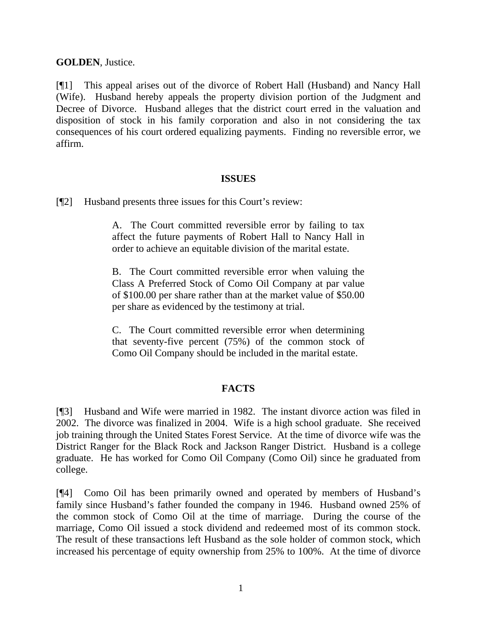## **GOLDEN**, Justice.

[¶1] This appeal arises out of the divorce of Robert Hall (Husband) and Nancy Hall (Wife). Husband hereby appeals the property division portion of the Judgment and Decree of Divorce. Husband alleges that the district court erred in the valuation and disposition of stock in his family corporation and also in not considering the tax consequences of his court ordered equalizing payments. Finding no reversible error, we affirm.

#### **ISSUES**

[¶2] Husband presents three issues for this Court's review:

A. The Court committed reversible error by failing to tax affect the future payments of Robert Hall to Nancy Hall in order to achieve an equitable division of the marital estate.

B. The Court committed reversible error when valuing the Class A Preferred Stock of Como Oil Company at par value of \$100.00 per share rather than at the market value of \$50.00 per share as evidenced by the testimony at trial.

C. The Court committed reversible error when determining that seventy-five percent (75%) of the common stock of Como Oil Company should be included in the marital estate.

# **FACTS**

[¶3] Husband and Wife were married in 1982. The instant divorce action was filed in 2002. The divorce was finalized in 2004. Wife is a high school graduate. She received job training through the United States Forest Service. At the time of divorce wife was the District Ranger for the Black Rock and Jackson Ranger District. Husband is a college graduate. He has worked for Como Oil Company (Como Oil) since he graduated from college.

[¶4] Como Oil has been primarily owned and operated by members of Husband's family since Husband's father founded the company in 1946. Husband owned 25% of the common stock of Como Oil at the time of marriage. During the course of the marriage, Como Oil issued a stock dividend and redeemed most of its common stock. The result of these transactions left Husband as the sole holder of common stock, which increased his percentage of equity ownership from 25% to 100%. At the time of divorce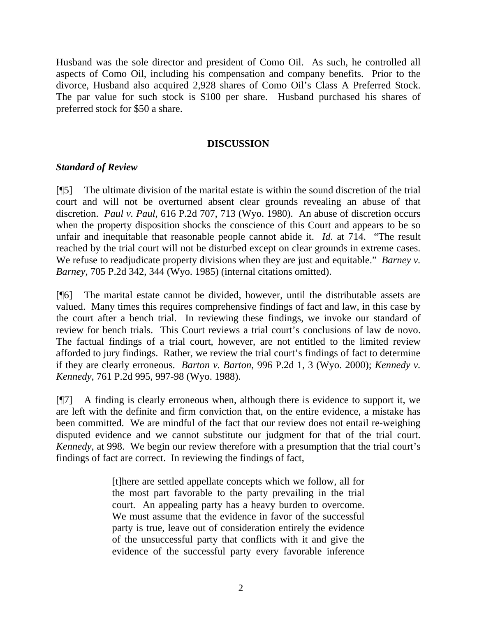Husband was the sole director and president of Como Oil. As such, he controlled all aspects of Como Oil, including his compensation and company benefits. Prior to the divorce, Husband also acquired 2,928 shares of Como Oil's Class A Preferred Stock. The par value for such stock is \$100 per share. Husband purchased his shares of preferred stock for \$50 a share.

### **DISCUSSION**

## *Standard of Review*

[¶5] The ultimate division of the marital estate is within the sound discretion of the trial court and will not be overturned absent clear grounds revealing an abuse of that discretion. *Paul v. Paul*, 616 P.2d 707, 713 (Wyo. 1980). An abuse of discretion occurs when the property disposition shocks the conscience of this Court and appears to be so unfair and inequitable that reasonable people cannot abide it. *Id*. at 714. "The result reached by the trial court will not be disturbed except on clear grounds in extreme cases. We refuse to readjudicate property divisions when they are just and equitable." *Barney v. Barney*, 705 P.2d 342, 344 (Wyo. 1985) (internal citations omitted).

[¶6] The marital estate cannot be divided, however, until the distributable assets are valued. Many times this requires comprehensive findings of fact and law, in this case by the court after a bench trial. In reviewing these findings, we invoke our standard of review for bench trials. This Court reviews a trial court's conclusions of law de novo. The factual findings of a trial court, however, are not entitled to the limited review afforded to jury findings. Rather, we review the trial court's findings of fact to determine if they are clearly erroneous. *Barton v. Barton*, 996 P.2d 1, 3 (Wyo. 2000); *Kennedy v. Kennedy*, 761 P.2d 995, 997-98 (Wyo. 1988).

[¶7] A finding is clearly erroneous when, although there is evidence to support it, we are left with the definite and firm conviction that, on the entire evidence, a mistake has been committed. We are mindful of the fact that our review does not entail re-weighing disputed evidence and we cannot substitute our judgment for that of the trial court. *Kennedy*, at 998. We begin our review therefore with a presumption that the trial court's findings of fact are correct. In reviewing the findings of fact,

> [t]here are settled appellate concepts which we follow, all for the most part favorable to the party prevailing in the trial court. An appealing party has a heavy burden to overcome. We must assume that the evidence in favor of the successful party is true, leave out of consideration entirely the evidence of the unsuccessful party that conflicts with it and give the evidence of the successful party every favorable inference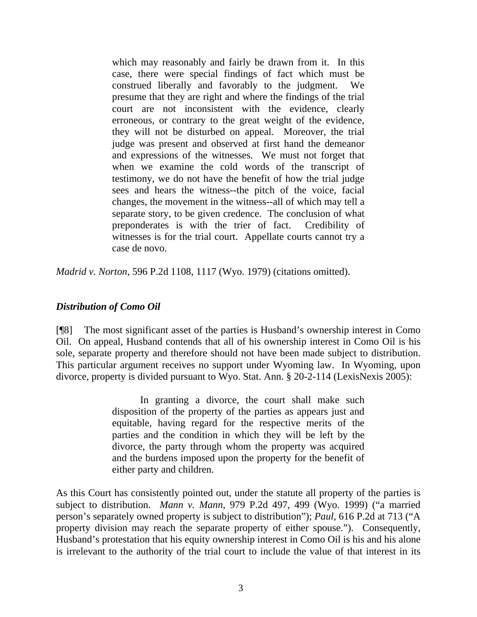which may reasonably and fairly be drawn from it. In this case, there were special findings of fact which must be construed liberally and favorably to the judgment. We presume that they are right and where the findings of the trial court are not inconsistent with the evidence, clearly erroneous, or contrary to the great weight of the evidence, they will not be disturbed on appeal. Moreover, the trial judge was present and observed at first hand the demeanor and expressions of the witnesses. We must not forget that when we examine the cold words of the transcript of testimony, we do not have the benefit of how the trial judge sees and hears the witness--the pitch of the voice, facial changes, the movement in the witness--all of which may tell a separate story, to be given credence. The conclusion of what preponderates is with the trier of fact. Credibility of witnesses is for the trial court. Appellate courts cannot try a case de novo.

*Madrid v. Norton*, 596 P.2d 1108, 1117 (Wyo. 1979) (citations omitted).

### *Distribution of Como Oil*

[¶8] The most significant asset of the parties is Husband's ownership interest in Como Oil. On appeal, Husband contends that all of his ownership interest in Como Oil is his sole, separate property and therefore should not have been made subject to distribution. This particular argument receives no support under Wyoming law. In Wyoming, upon divorce, property is divided pursuant to Wyo. Stat. Ann. § 20-2-114 (LexisNexis 2005):

> In granting a divorce, the court shall make such disposition of the property of the parties as appears just and equitable, having regard for the respective merits of the parties and the condition in which they will be left by the divorce, the party through whom the property was acquired and the burdens imposed upon the property for the benefit of either party and children.

As this Court has consistently pointed out, under the statute all property of the parties is subject to distribution. *Mann v. Mann*, 979 P.2d 497, 499 (Wyo. 1999) ("a married person's separately owned property is subject to distribution"); *Paul*, 616 P.2d at 713 ("A property division may reach the separate property of either spouse."). Consequently, Husband's protestation that his equity ownership interest in Como Oil is his and his alone is irrelevant to the authority of the trial court to include the value of that interest in its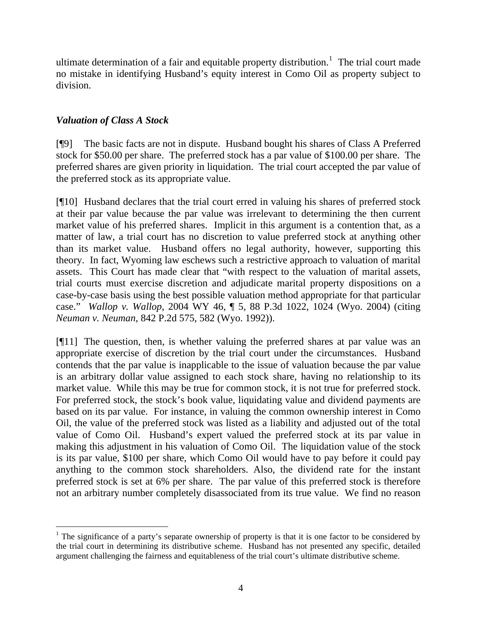ultimate determination of a fair and equitable property distribution.<sup>[1](#page-4-0)</sup> The trial court made no mistake in identifying Husband's equity interest in Como Oil as property subject to division.

# *Valuation of Class A Stock*

[¶9] The basic facts are not in dispute. Husband bought his shares of Class A Preferred stock for \$50.00 per share. The preferred stock has a par value of \$100.00 per share. The preferred shares are given priority in liquidation. The trial court accepted the par value of the preferred stock as its appropriate value.

[¶10] Husband declares that the trial court erred in valuing his shares of preferred stock at their par value because the par value was irrelevant to determining the then current market value of his preferred shares. Implicit in this argument is a contention that, as a matter of law, a trial court has no discretion to value preferred stock at anything other than its market value. Husband offers no legal authority, however, supporting this theory. In fact, Wyoming law eschews such a restrictive approach to valuation of marital assets. This Court has made clear that "with respect to the valuation of marital assets, trial courts must exercise discretion and adjudicate marital property dispositions on a case-by-case basis using the best possible valuation method appropriate for that particular case." *Wallop v. Wallop*, 2004 WY 46, ¶ 5, 88 P.3d 1022, 1024 (Wyo. 2004) (citing *Neuman v. Neuman*, 842 P.2d 575, 582 (Wyo. 1992)).

[¶11] The question, then, is whether valuing the preferred shares at par value was an appropriate exercise of discretion by the trial court under the circumstances. Husband contends that the par value is inapplicable to the issue of valuation because the par value is an arbitrary dollar value assigned to each stock share, having no relationship to its market value. While this may be true for common stock, it is not true for preferred stock. For preferred stock, the stock's book value, liquidating value and dividend payments are based on its par value. For instance, in valuing the common ownership interest in Como Oil, the value of the preferred stock was listed as a liability and adjusted out of the total value of Como Oil. Husband's expert valued the preferred stock at its par value in making this adjustment in his valuation of Como Oil. The liquidation value of the stock is its par value, \$100 per share, which Como Oil would have to pay before it could pay anything to the common stock shareholders. Also, the dividend rate for the instant preferred stock is set at 6% per share. The par value of this preferred stock is therefore not an arbitrary number completely disassociated from its true value. We find no reason

<span id="page-4-0"></span><sup>&</sup>lt;sup>1</sup> The significance of a party's separate ownership of property is that it is one factor to be considered by the trial court in determining its distributive scheme. Husband has not presented any specific, detailed argument challenging the fairness and equitableness of the trial court's ultimate distributive scheme.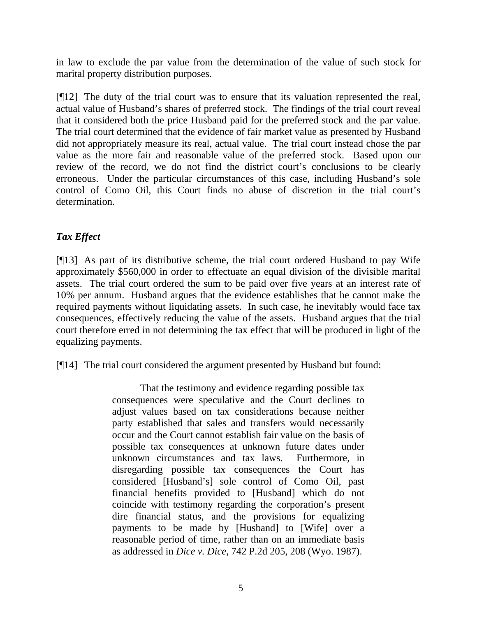in law to exclude the par value from the determination of the value of such stock for marital property distribution purposes.

[¶12] The duty of the trial court was to ensure that its valuation represented the real, actual value of Husband's shares of preferred stock. The findings of the trial court reveal that it considered both the price Husband paid for the preferred stock and the par value. The trial court determined that the evidence of fair market value as presented by Husband did not appropriately measure its real, actual value. The trial court instead chose the par value as the more fair and reasonable value of the preferred stock. Based upon our review of the record, we do not find the district court's conclusions to be clearly erroneous. Under the particular circumstances of this case, including Husband's sole control of Como Oil, this Court finds no abuse of discretion in the trial court's determination.

# *Tax Effect*

[¶13] As part of its distributive scheme, the trial court ordered Husband to pay Wife approximately \$560,000 in order to effectuate an equal division of the divisible marital assets. The trial court ordered the sum to be paid over five years at an interest rate of 10% per annum. Husband argues that the evidence establishes that he cannot make the required payments without liquidating assets. In such case, he inevitably would face tax consequences, effectively reducing the value of the assets. Husband argues that the trial court therefore erred in not determining the tax effect that will be produced in light of the equalizing payments.

[¶14] The trial court considered the argument presented by Husband but found:

That the testimony and evidence regarding possible tax consequences were speculative and the Court declines to adjust values based on tax considerations because neither party established that sales and transfers would necessarily occur and the Court cannot establish fair value on the basis of possible tax consequences at unknown future dates under unknown circumstances and tax laws. Furthermore, in disregarding possible tax consequences the Court has considered [Husband's] sole control of Como Oil, past financial benefits provided to [Husband] which do not coincide with testimony regarding the corporation's present dire financial status, and the provisions for equalizing payments to be made by [Husband] to [Wife] over a reasonable period of time, rather than on an immediate basis as addressed in *Dice v. Dice*, 742 P.2d 205, 208 (Wyo. 1987).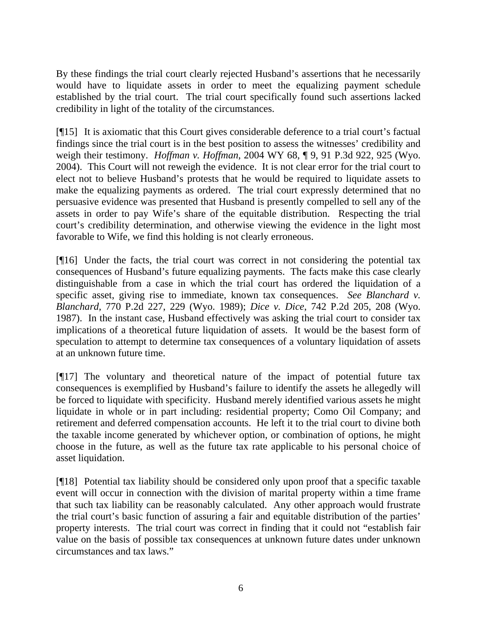By these findings the trial court clearly rejected Husband's assertions that he necessarily would have to liquidate assets in order to meet the equalizing payment schedule established by the trial court. The trial court specifically found such assertions lacked credibility in light of the totality of the circumstances.

[¶15] It is axiomatic that this Court gives considerable deference to a trial court's factual findings since the trial court is in the best position to assess the witnesses' credibility and weigh their testimony. *Hoffman v. Hoffman*, 2004 WY 68, ¶ 9, 91 P.3d 922, 925 (Wyo. 2004). This Court will not reweigh the evidence. It is not clear error for the trial court to elect not to believe Husband's protests that he would be required to liquidate assets to make the equalizing payments as ordered. The trial court expressly determined that no persuasive evidence was presented that Husband is presently compelled to sell any of the assets in order to pay Wife's share of the equitable distribution. Respecting the trial court's credibility determination, and otherwise viewing the evidence in the light most favorable to Wife, we find this holding is not clearly erroneous.

[¶16] Under the facts, the trial court was correct in not considering the potential tax consequences of Husband's future equalizing payments. The facts make this case clearly distinguishable from a case in which the trial court has ordered the liquidation of a specific asset, giving rise to immediate, known tax consequences. *See Blanchard v. Blanchard*, 770 P.2d 227, 229 (Wyo. 1989); *Dice v. Dice*, 742 P.2d 205, 208 (Wyo. 1987). In the instant case, Husband effectively was asking the trial court to consider tax implications of a theoretical future liquidation of assets. It would be the basest form of speculation to attempt to determine tax consequences of a voluntary liquidation of assets at an unknown future time.

[¶17] The voluntary and theoretical nature of the impact of potential future tax consequences is exemplified by Husband's failure to identify the assets he allegedly will be forced to liquidate with specificity. Husband merely identified various assets he might liquidate in whole or in part including: residential property; Como Oil Company; and retirement and deferred compensation accounts. He left it to the trial court to divine both the taxable income generated by whichever option, or combination of options, he might choose in the future, as well as the future tax rate applicable to his personal choice of asset liquidation.

[¶18] Potential tax liability should be considered only upon proof that a specific taxable event will occur in connection with the division of marital property within a time frame that such tax liability can be reasonably calculated. Any other approach would frustrate the trial court's basic function of assuring a fair and equitable distribution of the parties' property interests. The trial court was correct in finding that it could not "establish fair value on the basis of possible tax consequences at unknown future dates under unknown circumstances and tax laws."